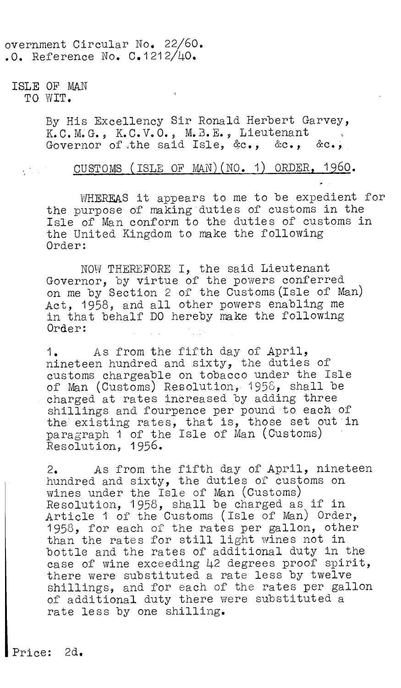overnment Circular No. 22/60.  $.0.$  Reference No.  $C.1212/I$ 

ISLE OF MAN TO WIT.

 $\label{eq:2} \frac{1}{2} \sum_{i=1}^n \frac{1}{2} \sum_{i=1}^n \frac{1}{2} \sum_{i=1}^n \frac{1}{2} \sum_{i=1}^n \frac{1}{2} \sum_{i=1}^n \frac{1}{2} \sum_{i=1}^n \frac{1}{2} \sum_{i=1}^n \frac{1}{2} \sum_{i=1}^n \frac{1}{2} \sum_{i=1}^n \frac{1}{2} \sum_{i=1}^n \frac{1}{2} \sum_{i=1}^n \frac{1}{2} \sum_{i=1}^n \frac{1}{2} \sum_{i=1}^n \frac{1}{$ 

By His Excellency Sir Ronald Herbert Garvey, K.C.V.O., M.B.E., Lieutenant Governor of the said Isle, &c., &c.,

## CUSTOMS (ISLE OF MAN)(NO. 1) ORDER, 1960.

WHEREAS it appears to me to be expedient for the purpose of making duties of customs in the Isle of Man conform to the duties of customs in the United Kingdom to make the following Order:

NOW THEREFORE I, the said Lieutenant Governor, by virtue of the powers conferred on me by Section 2 of the Customs (Isle of Man) Act, 1958, and all other powers enabling me in that behalf DO hereby make the following Order:

1. As from the fifth day of April, nineteen hundred and sixty, the duties of customs chargeable on tobacco under the Isle of Man (Customs) Resolution, 1956, shall be charged at rates increased by adding three shillings and fourpence per pound to each of the:existing rates, that is, those set out in paragraph 1 of the Isle of Man (Customs) Resolution, 1956.

2. As from the fifth day of April, nineteen hundred and sixty, the duties of customs on wines under the Isle of Man (Customs) Resolution, 1958, shall be charged as if in Article 1 of the Customs (Isle of Man) Order, 1958, for each of the rates per gallon, other than the rates for still light wines not in bottle and the rates of additional duty in the case of wine exceeding 42 degrees proof spirit, there were substituted a rate less by twelve shillings, and for each of the rates per gallon of additional duty there were substituted a rate less by one shilling.

Price: 2d.